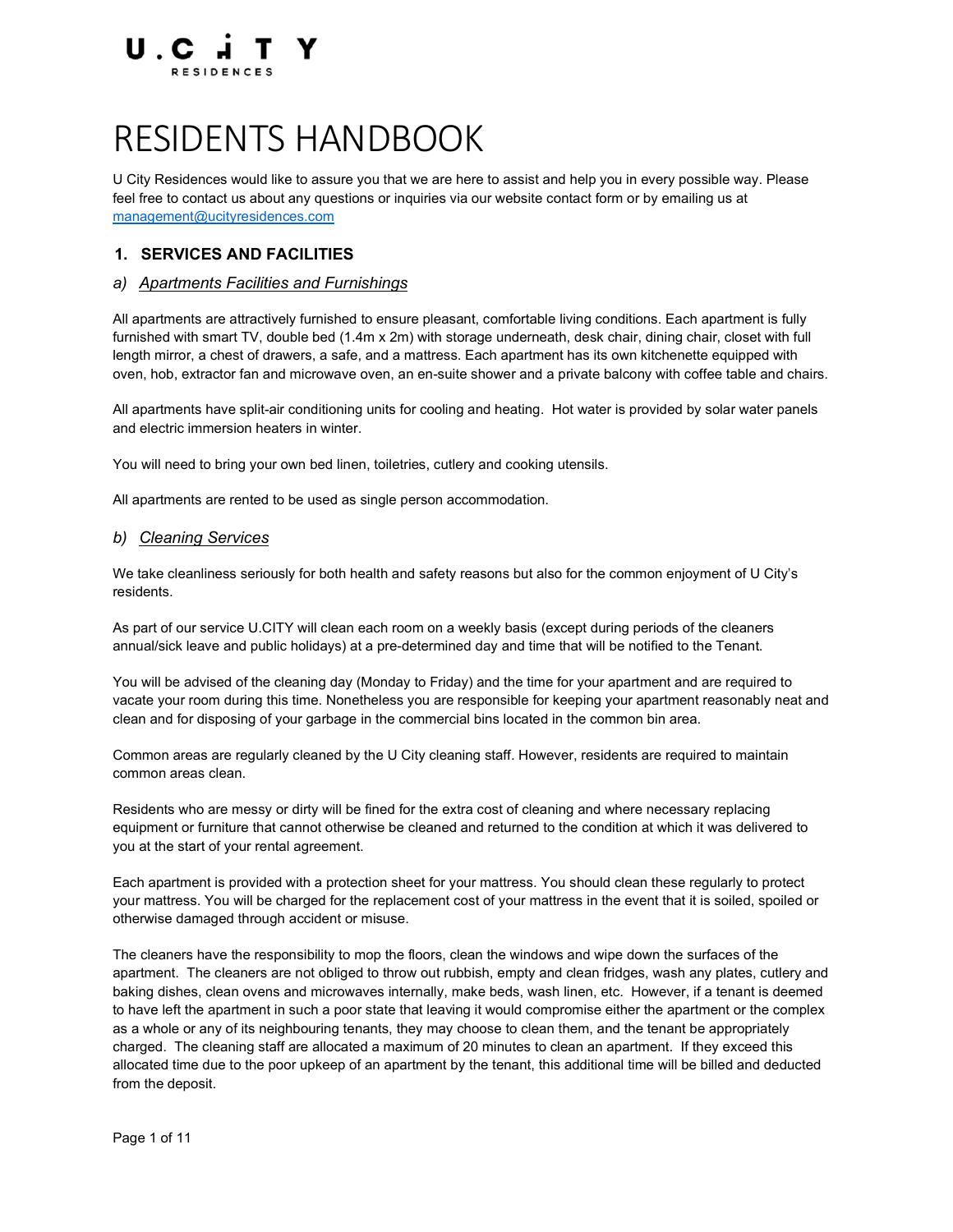

# RESIDENTS HANDBOOK

U City Residences would like to assure you that we are here to assist and help you in every possible way. Please feel free to contact us about any questions or inquiries via our website contact form or by emailing us at management@ucityresidences.com

## 1. SERVICES AND FACILITIES

#### a) Apartments Facilities and Furnishings

All apartments are attractively furnished to ensure pleasant, comfortable living conditions. Each apartment is fully furnished with smart TV, double bed (1.4m x 2m) with storage underneath, desk chair, dining chair, closet with full length mirror, a chest of drawers, a safe, and a mattress. Each apartment has its own kitchenette equipped with oven, hob, extractor fan and microwave oven, an en-suite shower and a private balcony with coffee table and chairs.

All apartments have split-air conditioning units for cooling and heating. Hot water is provided by solar water panels and electric immersion heaters in winter.

You will need to bring your own bed linen, toiletries, cutlery and cooking utensils.

All apartments are rented to be used as single person accommodation.

#### b) Cleaning Services

We take cleanliness seriously for both health and safety reasons but also for the common enjoyment of U City's residents.

As part of our service U.CITY will clean each room on a weekly basis (except during periods of the cleaners annual/sick leave and public holidays) at a pre-determined day and time that will be notified to the Tenant.

You will be advised of the cleaning day (Monday to Friday) and the time for your apartment and are required to vacate your room during this time. Nonetheless you are responsible for keeping your apartment reasonably neat and clean and for disposing of your garbage in the commercial bins located in the common bin area.

Common areas are regularly cleaned by the U City cleaning staff. However, residents are required to maintain common areas clean.

Residents who are messy or dirty will be fined for the extra cost of cleaning and where necessary replacing equipment or furniture that cannot otherwise be cleaned and returned to the condition at which it was delivered to you at the start of your rental agreement.

Each apartment is provided with a protection sheet for your mattress. You should clean these regularly to protect your mattress. You will be charged for the replacement cost of your mattress in the event that it is soiled, spoiled or otherwise damaged through accident or misuse.

The cleaners have the responsibility to mop the floors, clean the windows and wipe down the surfaces of the apartment. The cleaners are not obliged to throw out rubbish, empty and clean fridges, wash any plates, cutlery and baking dishes, clean ovens and microwaves internally, make beds, wash linen, etc. However, if a tenant is deemed to have left the apartment in such a poor state that leaving it would compromise either the apartment or the complex as a whole or any of its neighbouring tenants, they may choose to clean them, and the tenant be appropriately charged. The cleaning staff are allocated a maximum of 20 minutes to clean an apartment. If they exceed this allocated time due to the poor upkeep of an apartment by the tenant, this additional time will be billed and deducted from the deposit.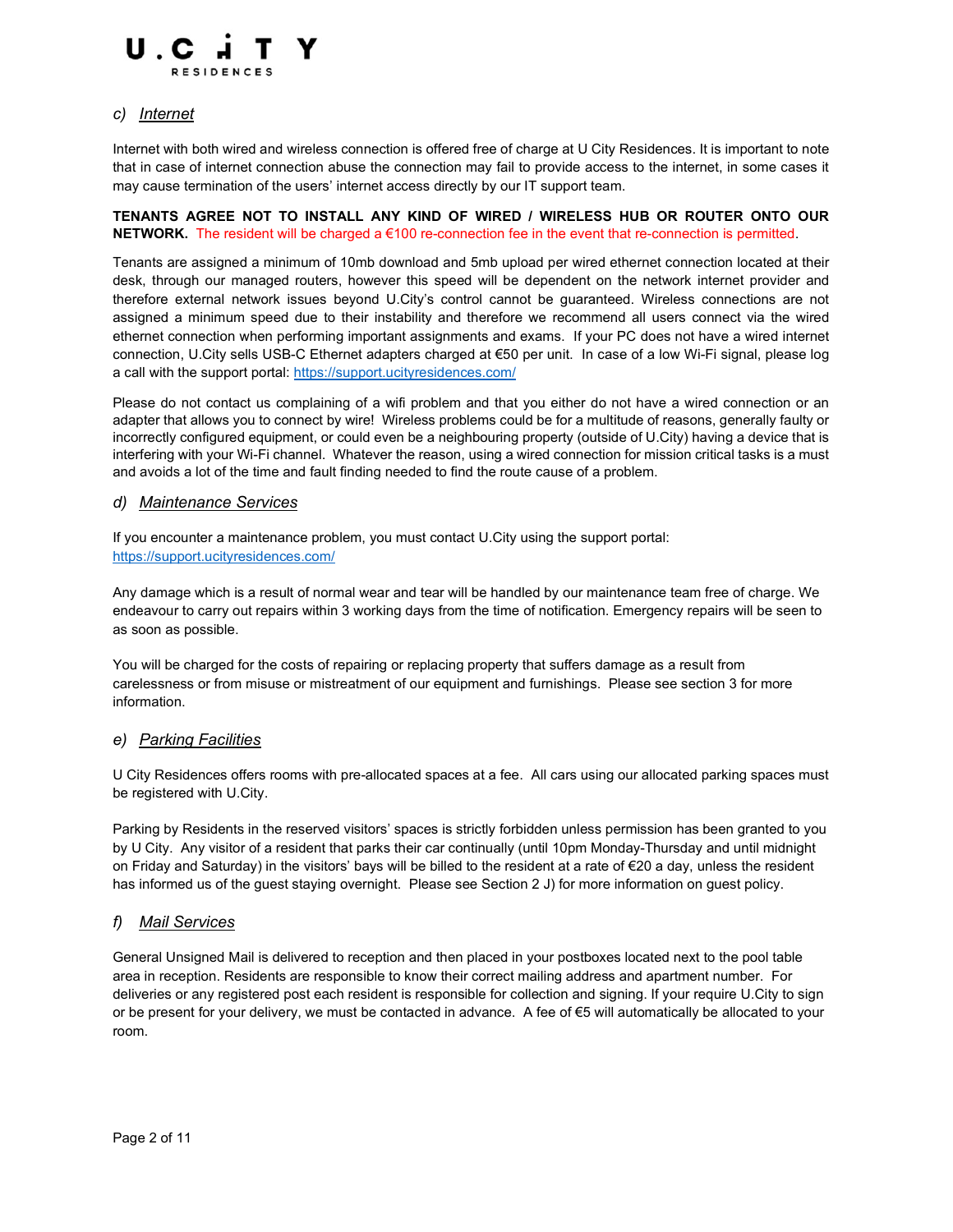

## c) Internet

Internet with both wired and wireless connection is offered free of charge at U City Residences. It is important to note that in case of internet connection abuse the connection may fail to provide access to the internet, in some cases it may cause termination of the users' internet access directly by our IT support team.

## TENANTS AGREE NOT TO INSTALL ANY KIND OF WIRED / WIRELESS HUB OR ROUTER ONTO OUR NETWORK. The resident will be charged a €100 re-connection fee in the event that re-connection is permitted.

Tenants are assigned a minimum of 10mb download and 5mb upload per wired ethernet connection located at their desk, through our managed routers, however this speed will be dependent on the network internet provider and therefore external network issues beyond U.City's control cannot be guaranteed. Wireless connections are not assigned a minimum speed due to their instability and therefore we recommend all users connect via the wired ethernet connection when performing important assignments and exams. If your PC does not have a wired internet connection, U.City sells USB-C Ethernet adapters charged at €50 per unit. In case of a low Wi-Fi signal, please log a call with the support portal: https://support.ucityresidences.com/

Please do not contact us complaining of a wifi problem and that you either do not have a wired connection or an adapter that allows you to connect by wire! Wireless problems could be for a multitude of reasons, generally faulty or incorrectly configured equipment, or could even be a neighbouring property (outside of U.City) having a device that is interfering with your Wi-Fi channel. Whatever the reason, using a wired connection for mission critical tasks is a must and avoids a lot of the time and fault finding needed to find the route cause of a problem.

#### d) Maintenance Services

If you encounter a maintenance problem, you must contact U.City using the support portal: https://support.ucityresidences.com/

Any damage which is a result of normal wear and tear will be handled by our maintenance team free of charge. We endeavour to carry out repairs within 3 working days from the time of notification. Emergency repairs will be seen to as soon as possible.

You will be charged for the costs of repairing or replacing property that suffers damage as a result from carelessness or from misuse or mistreatment of our equipment and furnishings. Please see section 3 for more information.

## e) Parking Facilities

U City Residences offers rooms with pre-allocated spaces at a fee. All cars using our allocated parking spaces must be registered with U.City.

Parking by Residents in the reserved visitors' spaces is strictly forbidden unless permission has been granted to you by U City. Any visitor of a resident that parks their car continually (until 10pm Monday-Thursday and until midnight on Friday and Saturday) in the visitors' bays will be billed to the resident at a rate of €20 a day, unless the resident has informed us of the quest staying overnight. Please see Section 2 J) for more information on quest policy.

## f) Mail Services

General Unsigned Mail is delivered to reception and then placed in your postboxes located next to the pool table area in reception. Residents are responsible to know their correct mailing address and apartment number. For deliveries or any registered post each resident is responsible for collection and signing. If your require U.City to sign or be present for your delivery, we must be contacted in advance. A fee of €5 will automatically be allocated to your room.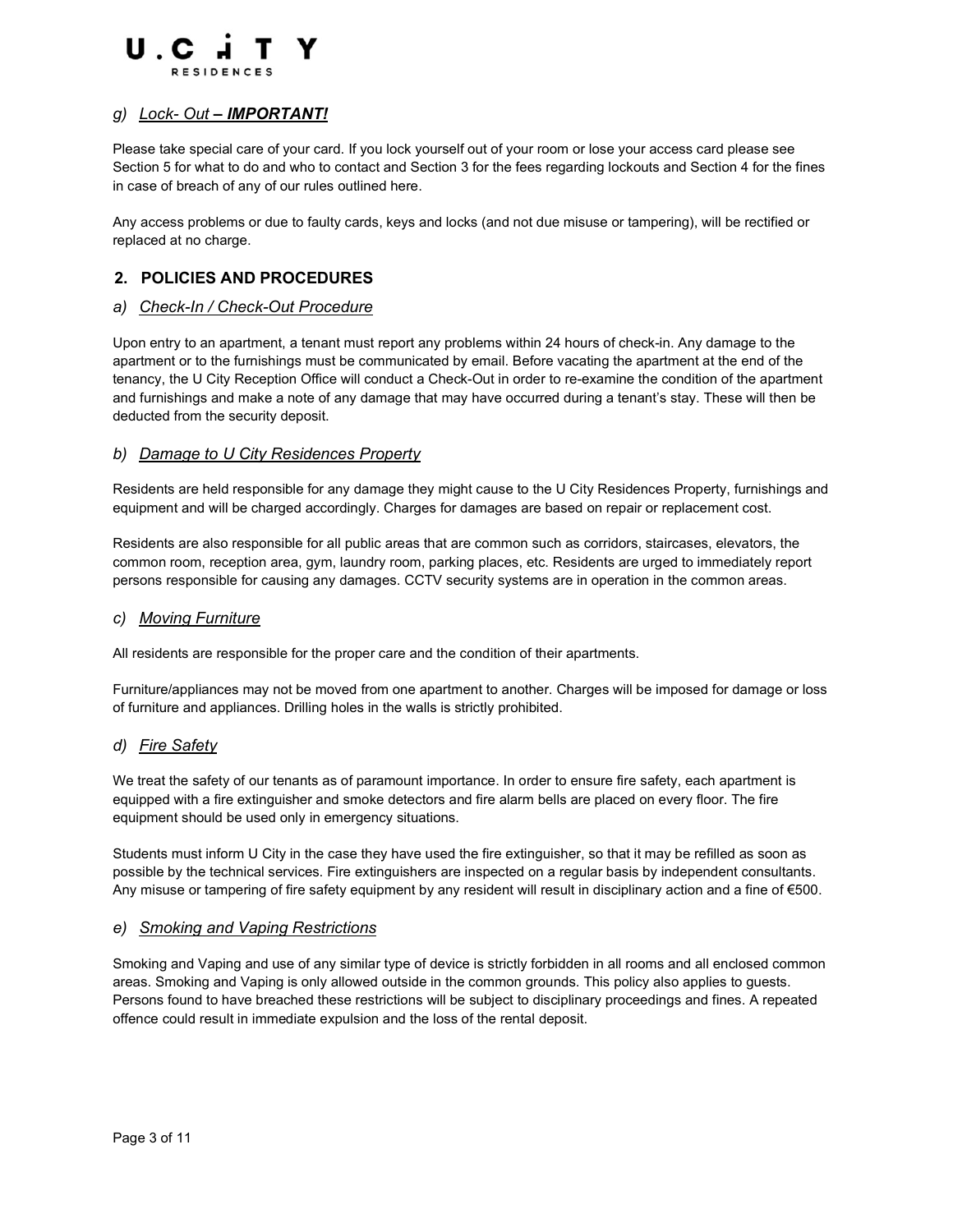

## g) Lock- Out – IMPORTANT!

Please take special care of your card. If you lock yourself out of your room or lose your access card please see Section 5 for what to do and who to contact and Section 3 for the fees regarding lockouts and Section 4 for the fines in case of breach of any of our rules outlined here.

Any access problems or due to faulty cards, keys and locks (and not due misuse or tampering), will be rectified or replaced at no charge.

# 2. POLICIES AND PROCEDURES

#### a) Check-In / Check-Out Procedure

Upon entry to an apartment, a tenant must report any problems within 24 hours of check-in. Any damage to the apartment or to the furnishings must be communicated by email. Before vacating the apartment at the end of the tenancy, the U City Reception Office will conduct a Check-Out in order to re-examine the condition of the apartment and furnishings and make a note of any damage that may have occurred during a tenant's stay. These will then be deducted from the security deposit.

#### b) Damage to U City Residences Property

Residents are held responsible for any damage they might cause to the U City Residences Property, furnishings and equipment and will be charged accordingly. Charges for damages are based on repair or replacement cost.

Residents are also responsible for all public areas that are common such as corridors, staircases, elevators, the common room, reception area, gym, laundry room, parking places, etc. Residents are urged to immediately report persons responsible for causing any damages. CCTV security systems are in operation in the common areas.

#### c) Moving Furniture

All residents are responsible for the proper care and the condition of their apartments.

Furniture/appliances may not be moved from one apartment to another. Charges will be imposed for damage or loss of furniture and appliances. Drilling holes in the walls is strictly prohibited.

#### d) Fire Safety

We treat the safety of our tenants as of paramount importance. In order to ensure fire safety, each apartment is equipped with a fire extinguisher and smoke detectors and fire alarm bells are placed on every floor. The fire equipment should be used only in emergency situations.

Students must inform U City in the case they have used the fire extinguisher, so that it may be refilled as soon as possible by the technical services. Fire extinguishers are inspected on a regular basis by independent consultants. Any misuse or tampering of fire safety equipment by any resident will result in disciplinary action and a fine of €500.

#### e) Smoking and Vaping Restrictions

Smoking and Vaping and use of any similar type of device is strictly forbidden in all rooms and all enclosed common areas. Smoking and Vaping is only allowed outside in the common grounds. This policy also applies to guests. Persons found to have breached these restrictions will be subject to disciplinary proceedings and fines. A repeated offence could result in immediate expulsion and the loss of the rental deposit.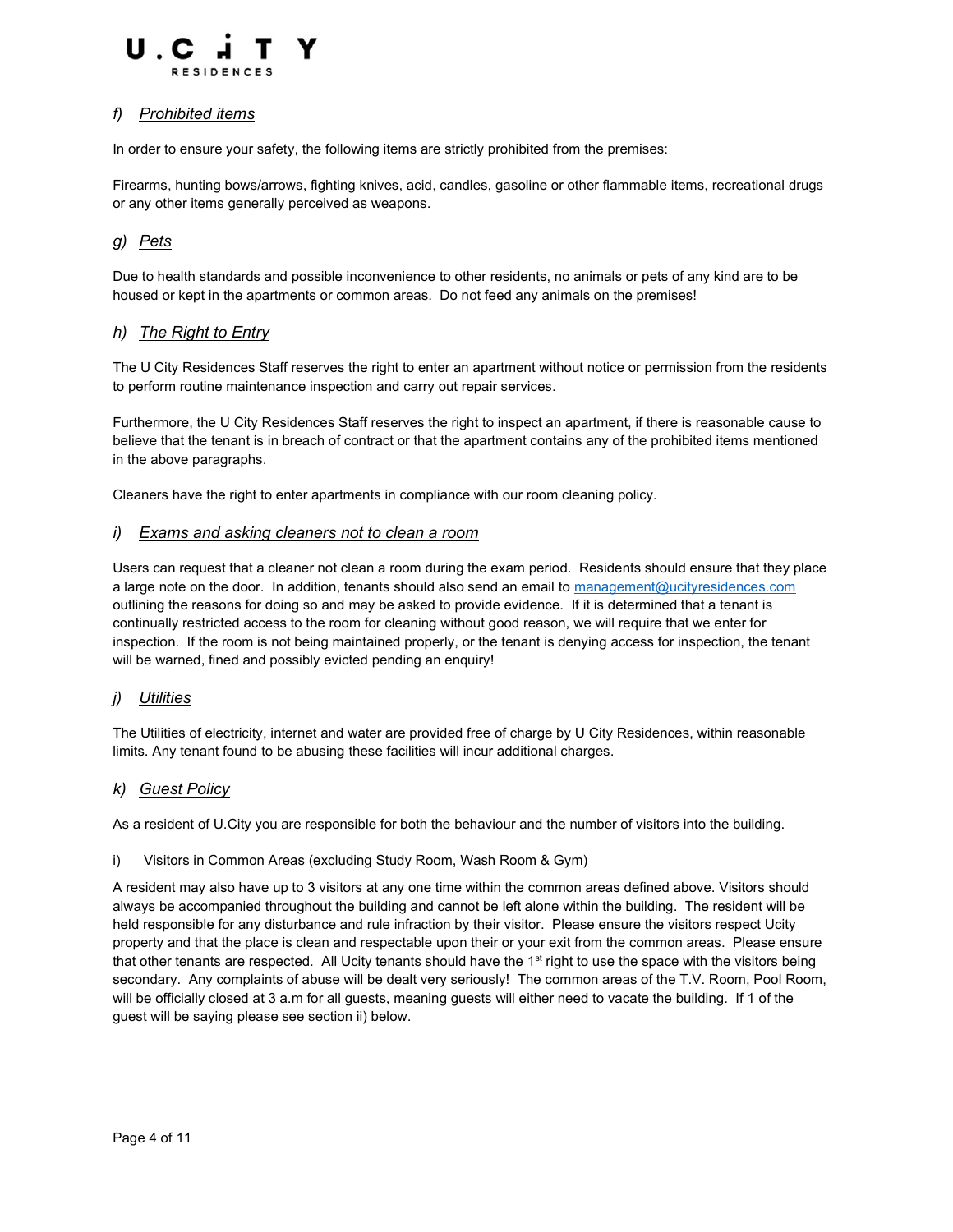

## f) Prohibited items

In order to ensure your safety, the following items are strictly prohibited from the premises:

Firearms, hunting bows/arrows, fighting knives, acid, candles, gasoline or other flammable items, recreational drugs or any other items generally perceived as weapons.

# g) Pets

Due to health standards and possible inconvenience to other residents, no animals or pets of any kind are to be housed or kept in the apartments or common areas. Do not feed any animals on the premises!

## h) The Right to Entry

The U City Residences Staff reserves the right to enter an apartment without notice or permission from the residents to perform routine maintenance inspection and carry out repair services.

Furthermore, the U City Residences Staff reserves the right to inspect an apartment, if there is reasonable cause to believe that the tenant is in breach of contract or that the apartment contains any of the prohibited items mentioned in the above paragraphs.

Cleaners have the right to enter apartments in compliance with our room cleaning policy.

## i) Exams and asking cleaners not to clean a room

Users can request that a cleaner not clean a room during the exam period. Residents should ensure that they place a large note on the door. In addition, tenants should also send an email to management@ucityresidences.com outlining the reasons for doing so and may be asked to provide evidence. If it is determined that a tenant is continually restricted access to the room for cleaning without good reason, we will require that we enter for inspection. If the room is not being maintained properly, or the tenant is denying access for inspection, the tenant will be warned, fined and possibly evicted pending an enquiry!

## j) Utilities

The Utilities of electricity, internet and water are provided free of charge by U City Residences, within reasonable limits. Any tenant found to be abusing these facilities will incur additional charges.

## k) Guest Policy

As a resident of U.City you are responsible for both the behaviour and the number of visitors into the building.

#### i) Visitors in Common Areas (excluding Study Room, Wash Room & Gym)

A resident may also have up to 3 visitors at any one time within the common areas defined above. Visitors should always be accompanied throughout the building and cannot be left alone within the building. The resident will be held responsible for any disturbance and rule infraction by their visitor. Please ensure the visitors respect Ucity property and that the place is clean and respectable upon their or your exit from the common areas. Please ensure that other tenants are respected. All Ucity tenants should have the 1<sup>st</sup> right to use the space with the visitors being secondary. Any complaints of abuse will be dealt very seriously! The common areas of the T.V. Room, Pool Room, will be officially closed at 3 a.m for all guests, meaning guests will either need to vacate the building. If 1 of the guest will be saying please see section ii) below.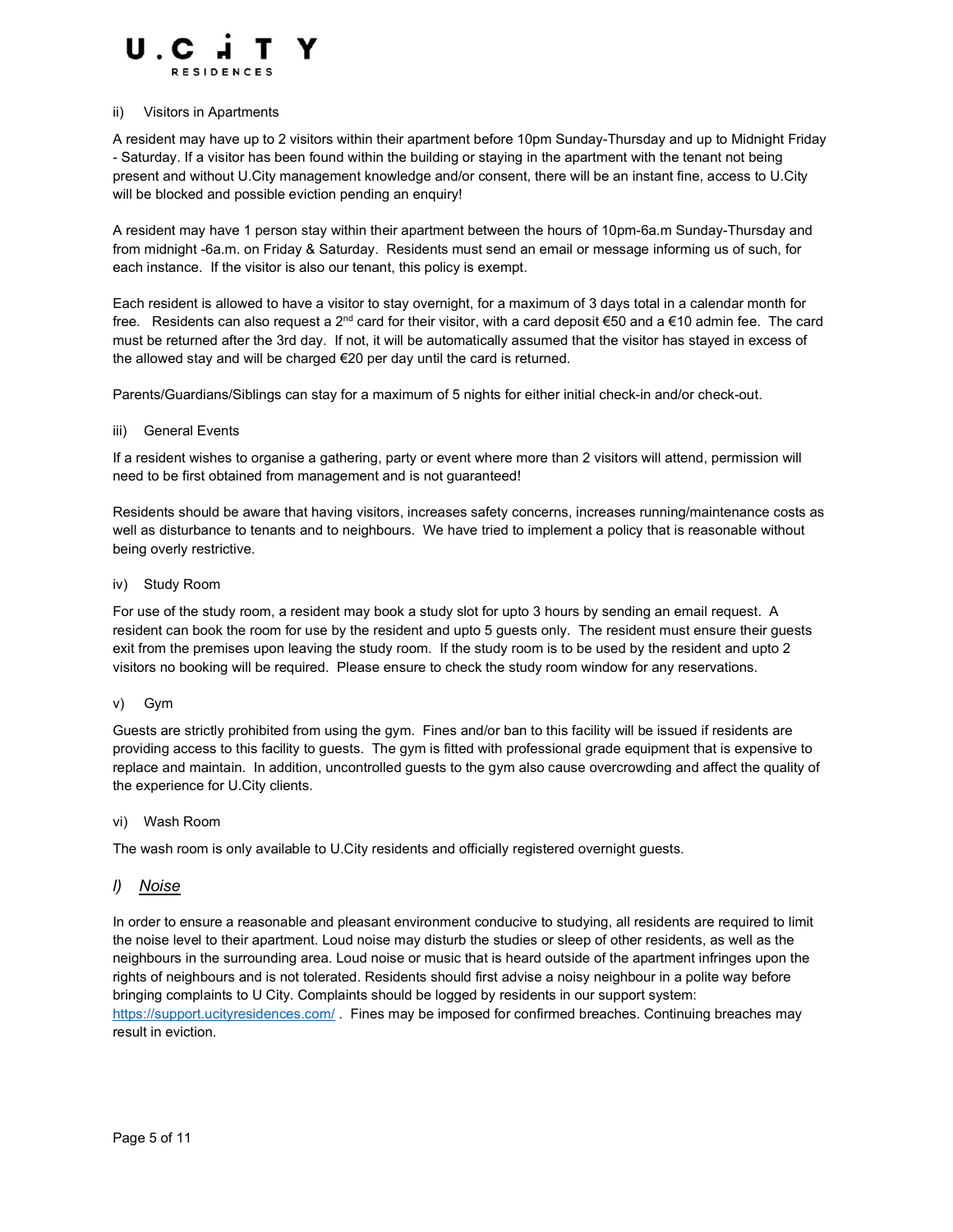

#### ii) Visitors in Apartments

A resident may have up to 2 visitors within their apartment before 10pm Sunday-Thursday and up to Midnight Friday - Saturday. If a visitor has been found within the building or staying in the apartment with the tenant not being present and without U.City management knowledge and/or consent, there will be an instant fine, access to U.City will be blocked and possible eviction pending an enquiry!

A resident may have 1 person stay within their apartment between the hours of 10pm-6a.m Sunday-Thursday and from midnight -6a.m. on Friday & Saturday. Residents must send an email or message informing us of such, for each instance. If the visitor is also our tenant, this policy is exempt.

Each resident is allowed to have a visitor to stay overnight, for a maximum of 3 days total in a calendar month for free. Residents can also request a 2<sup>nd</sup> card for their visitor, with a card deposit €50 and a €10 admin fee. The card must be returned after the 3rd day. If not, it will be automatically assumed that the visitor has stayed in excess of the allowed stay and will be charged €20 per day until the card is returned.

Parents/Guardians/Siblings can stay for a maximum of 5 nights for either initial check-in and/or check-out.

#### iii) General Events

If a resident wishes to organise a gathering, party or event where more than 2 visitors will attend, permission will need to be first obtained from management and is not guaranteed!

Residents should be aware that having visitors, increases safety concerns, increases running/maintenance costs as well as disturbance to tenants and to neighbours. We have tried to implement a policy that is reasonable without being overly restrictive.

#### iv) Study Room

For use of the study room, a resident may book a study slot for upto 3 hours by sending an email request. A resident can book the room for use by the resident and upto 5 guests only. The resident must ensure their guests exit from the premises upon leaving the study room. If the study room is to be used by the resident and upto 2 visitors no booking will be required. Please ensure to check the study room window for any reservations.

#### v) Gym

Guests are strictly prohibited from using the gym. Fines and/or ban to this facility will be issued if residents are providing access to this facility to guests. The gym is fitted with professional grade equipment that is expensive to replace and maintain. In addition, uncontrolled guests to the gym also cause overcrowding and affect the quality of the experience for U.City clients.

#### vi) Wash Room

The wash room is only available to U.City residents and officially registered overnight guests.

#### l) Noise

In order to ensure a reasonable and pleasant environment conducive to studying, all residents are required to limit the noise level to their apartment. Loud noise may disturb the studies or sleep of other residents, as well as the neighbours in the surrounding area. Loud noise or music that is heard outside of the apartment infringes upon the rights of neighbours and is not tolerated. Residents should first advise a noisy neighbour in a polite way before bringing complaints to U City. Complaints should be logged by residents in our support system: https://support.ucityresidences.com/ . Fines may be imposed for confirmed breaches. Continuing breaches may result in eviction.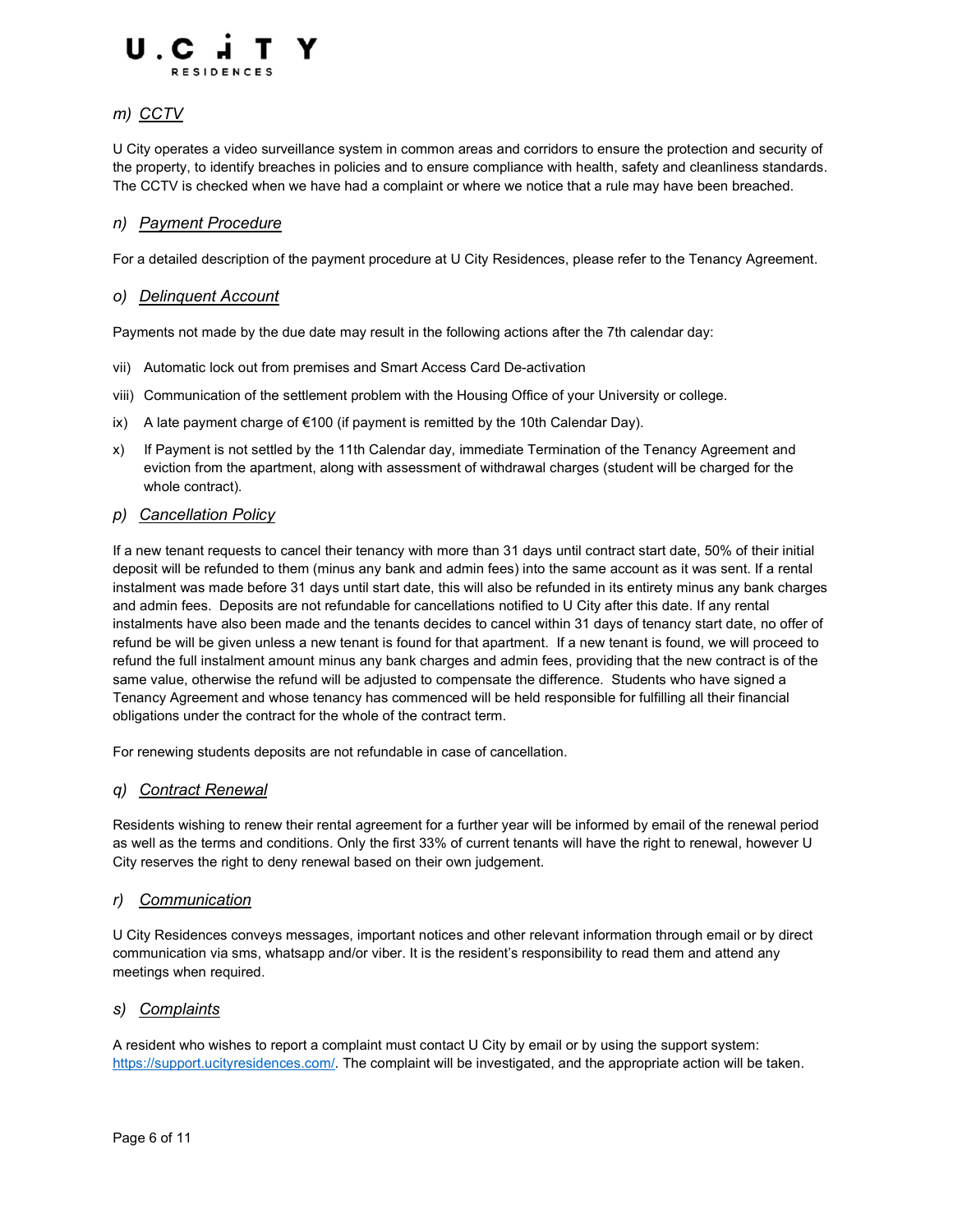

# m) CCTV

U City operates a video surveillance system in common areas and corridors to ensure the protection and security of the property, to identify breaches in policies and to ensure compliance with health, safety and cleanliness standards. The CCTV is checked when we have had a complaint or where we notice that a rule may have been breached.

## n) Payment Procedure

For a detailed description of the payment procedure at U City Residences, please refer to the Tenancy Agreement.

#### o) Delinquent Account

Payments not made by the due date may result in the following actions after the 7th calendar day:

- vii) Automatic lock out from premises and Smart Access Card De-activation
- viii) Communication of the settlement problem with the Housing Office of your University or college.
- ix) A late payment charge of  $\epsilon$ 100 (if payment is remitted by the 10th Calendar Day).
- x) If Payment is not settled by the 11th Calendar day, immediate Termination of the Tenancy Agreement and eviction from the apartment, along with assessment of withdrawal charges (student will be charged for the whole contract).

#### p) Cancellation Policy

If a new tenant requests to cancel their tenancy with more than 31 days until contract start date, 50% of their initial deposit will be refunded to them (minus any bank and admin fees) into the same account as it was sent. If a rental instalment was made before 31 days until start date, this will also be refunded in its entirety minus any bank charges and admin fees. Deposits are not refundable for cancellations notified to U City after this date. If any rental instalments have also been made and the tenants decides to cancel within 31 days of tenancy start date, no offer of refund be will be given unless a new tenant is found for that apartment. If a new tenant is found, we will proceed to refund the full instalment amount minus any bank charges and admin fees, providing that the new contract is of the same value, otherwise the refund will be adjusted to compensate the difference. Students who have signed a Tenancy Agreement and whose tenancy has commenced will be held responsible for fulfilling all their financial obligations under the contract for the whole of the contract term.

For renewing students deposits are not refundable in case of cancellation.

#### q) Contract Renewal

Residents wishing to renew their rental agreement for a further year will be informed by email of the renewal period as well as the terms and conditions. Only the first 33% of current tenants will have the right to renewal, however U City reserves the right to deny renewal based on their own judgement.

#### r) Communication

U City Residences conveys messages, important notices and other relevant information through email or by direct communication via sms, whatsapp and/or viber. It is the resident's responsibility to read them and attend any meetings when required.

## s) Complaints

A resident who wishes to report a complaint must contact U City by email or by using the support system: https://support.ucityresidences.com/. The complaint will be investigated, and the appropriate action will be taken.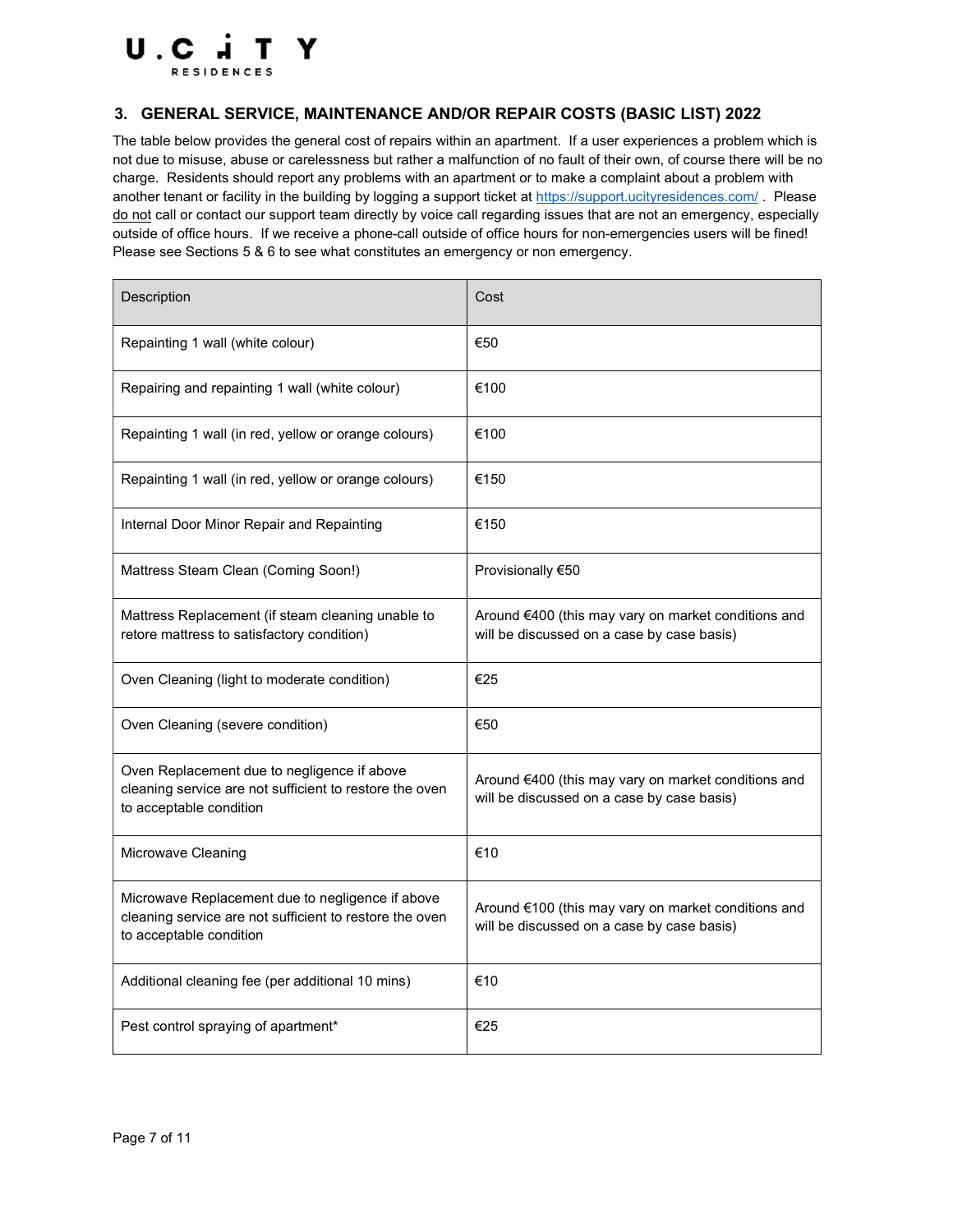

## 3. GENERAL SERVICE, MAINTENANCE AND/OR REPAIR COSTS (BASIC LIST) 2022

The table below provides the general cost of repairs within an apartment. If a user experiences a problem which is not due to misuse, abuse or carelessness but rather a malfunction of no fault of their own, of course there will be no charge. Residents should report any problems with an apartment or to make a complaint about a problem with another tenant or facility in the building by logging a support ticket at https://support.ucityresidences.com/. Please do not call or contact our support team directly by voice call regarding issues that are not an emergency, especially outside of office hours. If we receive a phone-call outside of office hours for non-emergencies users will be fined! Please see Sections 5 & 6 to see what constitutes an emergency or non emergency.

| Description                                                                                                                            | Cost                                                                                              |
|----------------------------------------------------------------------------------------------------------------------------------------|---------------------------------------------------------------------------------------------------|
| Repainting 1 wall (white colour)                                                                                                       | €50                                                                                               |
| Repairing and repainting 1 wall (white colour)                                                                                         | €100                                                                                              |
| Repainting 1 wall (in red, yellow or orange colours)                                                                                   | €100                                                                                              |
| Repainting 1 wall (in red, yellow or orange colours)                                                                                   | €150                                                                                              |
| Internal Door Minor Repair and Repainting                                                                                              | €150                                                                                              |
| Mattress Steam Clean (Coming Soon!)                                                                                                    | Provisionally €50                                                                                 |
| Mattress Replacement (if steam cleaning unable to<br>retore mattress to satisfactory condition)                                        | Around €400 (this may vary on market conditions and<br>will be discussed on a case by case basis) |
| Oven Cleaning (light to moderate condition)                                                                                            | €25                                                                                               |
| Oven Cleaning (severe condition)                                                                                                       | €50                                                                                               |
| Oven Replacement due to negligence if above<br>cleaning service are not sufficient to restore the oven<br>to acceptable condition      | Around €400 (this may vary on market conditions and<br>will be discussed on a case by case basis) |
| Microwave Cleaning                                                                                                                     | €10                                                                                               |
| Microwave Replacement due to negligence if above<br>cleaning service are not sufficient to restore the oven<br>to acceptable condition | Around €100 (this may vary on market conditions and<br>will be discussed on a case by case basis) |
| Additional cleaning fee (per additional 10 mins)                                                                                       | €10                                                                                               |
| Pest control spraying of apartment*                                                                                                    | €25                                                                                               |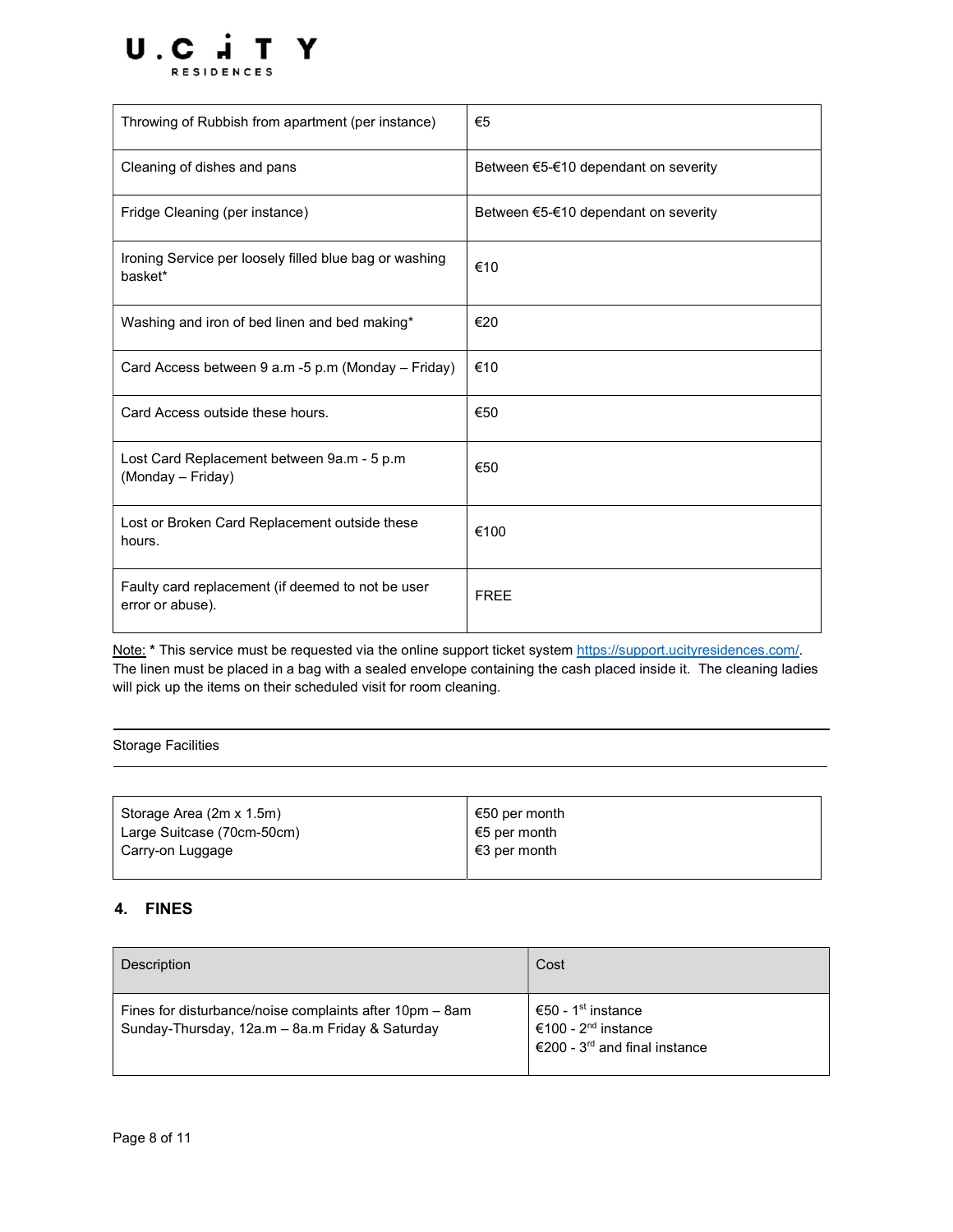

| Throwing of Rubbish from apartment (per instance)                     | €5                                   |
|-----------------------------------------------------------------------|--------------------------------------|
| Cleaning of dishes and pans                                           | Between €5-€10 dependant on severity |
| Fridge Cleaning (per instance)                                        | Between €5-€10 dependant on severity |
| Ironing Service per loosely filled blue bag or washing<br>basket*     | €10                                  |
| Washing and iron of bed linen and bed making*                         | €20                                  |
| Card Access between 9 a.m -5 p.m (Monday - Friday)                    | €10                                  |
| Card Access outside these hours.                                      | €50                                  |
| Lost Card Replacement between 9a.m - 5 p.m<br>(Monday - Friday)       | €50                                  |
| Lost or Broken Card Replacement outside these<br>hours.               | €100                                 |
| Faulty card replacement (if deemed to not be user<br>error or abuse). | <b>FREE</b>                          |

Note: \* This service must be requested via the online support ticket system https://support.ucityresidences.com/. The linen must be placed in a bag with a sealed envelope containing the cash placed inside it. The cleaning ladies will pick up the items on their scheduled visit for room cleaning.

Storage Facilities

| Storage Area (2m x 1.5m)   | €50 per month |
|----------------------------|---------------|
| Large Suitcase (70cm-50cm) | €5 per month  |
| Carry-on Luggage           | €3 per month  |

# 4. FINES

| Description                                                                                                | Cost                                                                                                           |
|------------------------------------------------------------------------------------------------------------|----------------------------------------------------------------------------------------------------------------|
| Fines for disturbance/noise complaints after 10pm – 8am<br>Sunday-Thursday, 12a.m - 8a.m Friday & Saturday | €50 - 1 <sup>st</sup> instance<br>€100 - 2 <sup>nd</sup> instance<br>€200 - 3 <sup>rd</sup> and final instance |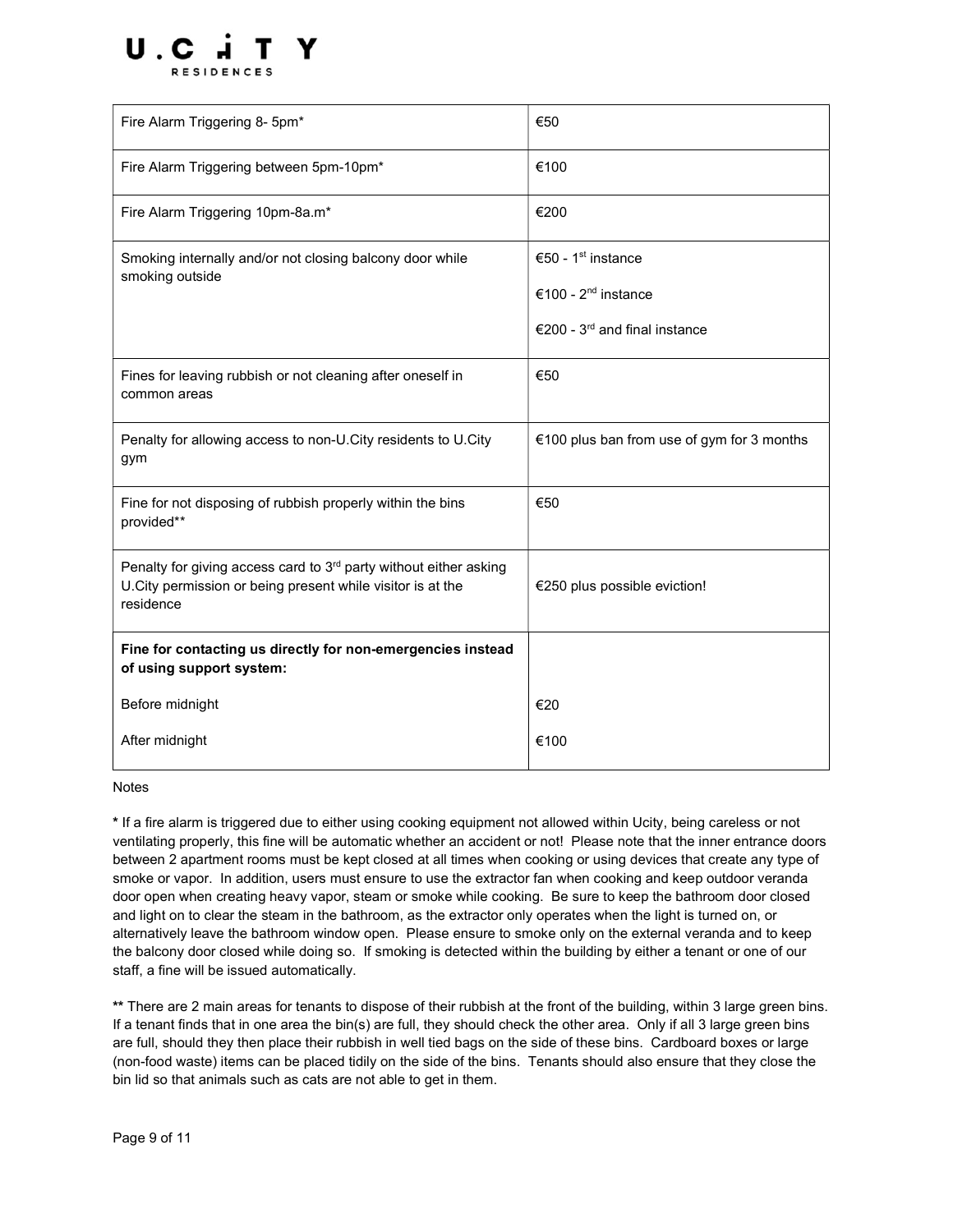

| Fire Alarm Triggering 8- 5pm*                                                                                                                            | €50                                        |
|----------------------------------------------------------------------------------------------------------------------------------------------------------|--------------------------------------------|
| Fire Alarm Triggering between 5pm-10pm*                                                                                                                  | €100                                       |
| Fire Alarm Triggering 10pm-8a.m*                                                                                                                         | €200                                       |
| Smoking internally and/or not closing balcony door while<br>smoking outside                                                                              | €50 - 1 <sup>st</sup> instance             |
|                                                                                                                                                          | €100 - 2 <sup>nd</sup> instance            |
|                                                                                                                                                          | €200 - $3rd$ and final instance            |
| Fines for leaving rubbish or not cleaning after oneself in<br>common areas                                                                               | €50                                        |
| Penalty for allowing access to non-U.City residents to U.City<br>gym                                                                                     | €100 plus ban from use of gym for 3 months |
| Fine for not disposing of rubbish properly within the bins<br>provided**                                                                                 | €50                                        |
| Penalty for giving access card to 3 <sup>rd</sup> party without either asking<br>U.City permission or being present while visitor is at the<br>residence | €250 plus possible eviction!               |
| Fine for contacting us directly for non-emergencies instead<br>of using support system:                                                                  |                                            |
| Before midnight                                                                                                                                          | €20                                        |
| After midnight                                                                                                                                           | €100                                       |

#### Notes

\* If a fire alarm is triggered due to either using cooking equipment not allowed within Ucity, being careless or not ventilating properly, this fine will be automatic whether an accident or not! Please note that the inner entrance doors between 2 apartment rooms must be kept closed at all times when cooking or using devices that create any type of smoke or vapor. In addition, users must ensure to use the extractor fan when cooking and keep outdoor veranda door open when creating heavy vapor, steam or smoke while cooking. Be sure to keep the bathroom door closed and light on to clear the steam in the bathroom, as the extractor only operates when the light is turned on, or alternatively leave the bathroom window open. Please ensure to smoke only on the external veranda and to keep the balcony door closed while doing so. If smoking is detected within the building by either a tenant or one of our staff, a fine will be issued automatically.

\*\* There are 2 main areas for tenants to dispose of their rubbish at the front of the building, within 3 large green bins. If a tenant finds that in one area the bin(s) are full, they should check the other area. Only if all 3 large green bins are full, should they then place their rubbish in well tied bags on the side of these bins. Cardboard boxes or large (non-food waste) items can be placed tidily on the side of the bins. Tenants should also ensure that they close the bin lid so that animals such as cats are not able to get in them.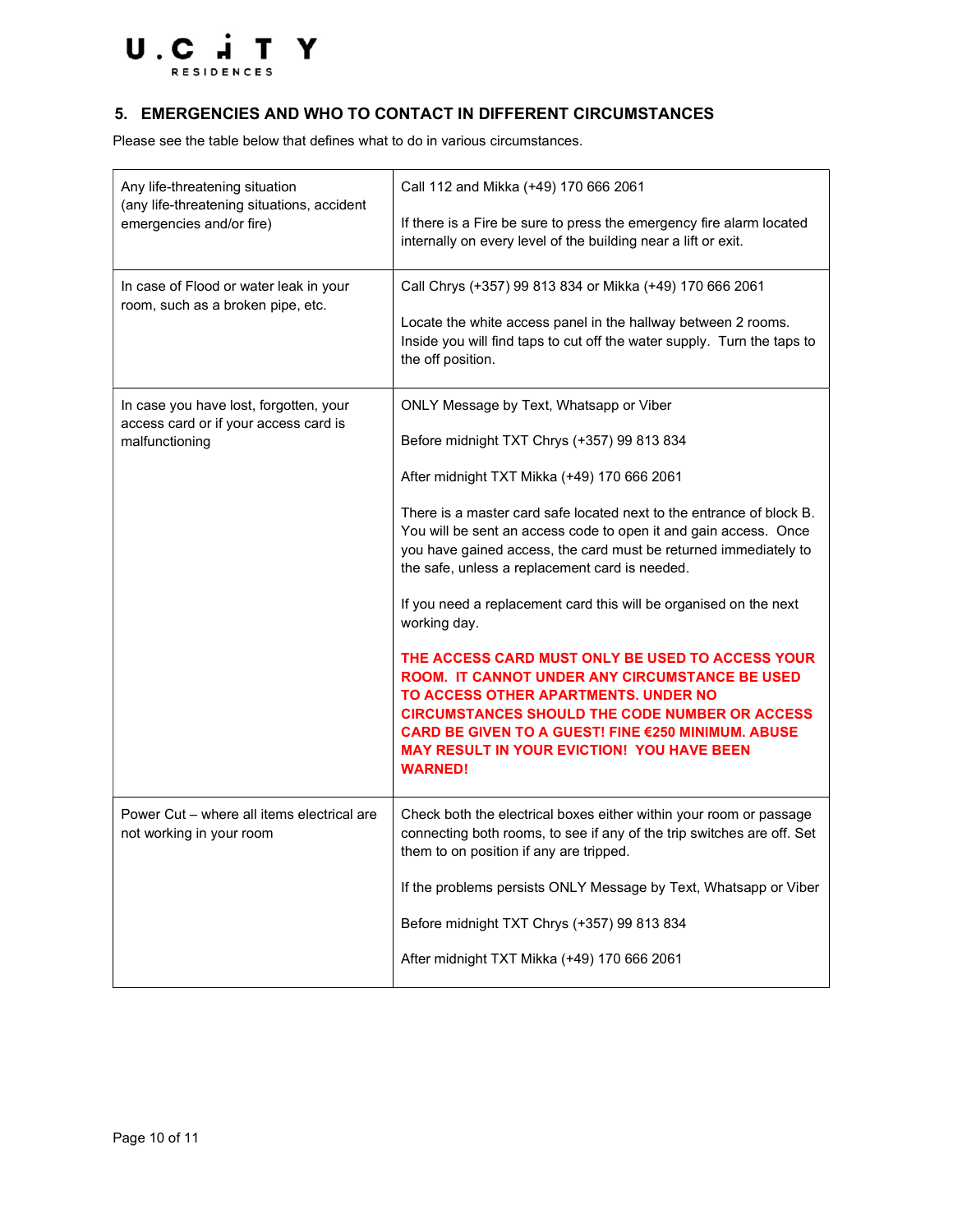

# 5. EMERGENCIES AND WHO TO CONTACT IN DIFFERENT CIRCUMSTANCES

Please see the table below that defines what to do in various circumstances.

| Any life-threatening situation<br>(any life-threatening situations, accident<br>emergencies and/or fire) | Call 112 and Mikka (+49) 170 666 2061<br>If there is a Fire be sure to press the emergency fire alarm located<br>internally on every level of the building near a lift or exit.                                                                                                                                                                                                                                                                                                                                                                                                                                                                                                                                                                                                                                                  |
|----------------------------------------------------------------------------------------------------------|----------------------------------------------------------------------------------------------------------------------------------------------------------------------------------------------------------------------------------------------------------------------------------------------------------------------------------------------------------------------------------------------------------------------------------------------------------------------------------------------------------------------------------------------------------------------------------------------------------------------------------------------------------------------------------------------------------------------------------------------------------------------------------------------------------------------------------|
| In case of Flood or water leak in your<br>room, such as a broken pipe, etc.                              | Call Chrys (+357) 99 813 834 or Mikka (+49) 170 666 2061<br>Locate the white access panel in the hallway between 2 rooms.<br>Inside you will find taps to cut off the water supply. Turn the taps to<br>the off position.                                                                                                                                                                                                                                                                                                                                                                                                                                                                                                                                                                                                        |
| In case you have lost, forgotten, your<br>access card or if your access card is<br>malfunctioning        | ONLY Message by Text, Whatsapp or Viber<br>Before midnight TXT Chrys (+357) 99 813 834<br>After midnight TXT Mikka (+49) 170 666 2061<br>There is a master card safe located next to the entrance of block B.<br>You will be sent an access code to open it and gain access. Once<br>you have gained access, the card must be returned immediately to<br>the safe, unless a replacement card is needed.<br>If you need a replacement card this will be organised on the next<br>working day.<br>THE ACCESS CARD MUST ONLY BE USED TO ACCESS YOUR<br>ROOM. IT CANNOT UNDER ANY CIRCUMSTANCE BE USED<br>TO ACCESS OTHER APARTMENTS, UNDER NO<br><b>CIRCUMSTANCES SHOULD THE CODE NUMBER OR ACCESS</b><br>CARD BE GIVEN TO A GUEST! FINE €250 MINIMUM. ABUSE<br><b>MAY RESULT IN YOUR EVICTION! YOU HAVE BEEN</b><br><b>WARNED!</b> |
| Power Cut - where all items electrical are<br>not working in your room                                   | Check both the electrical boxes either within your room or passage<br>connecting both rooms, to see if any of the trip switches are off. Set<br>them to on position if any are tripped.<br>If the problems persists ONLY Message by Text, Whatsapp or Viber<br>Before midnight TXT Chrys (+357) 99 813 834<br>After midnight TXT Mikka (+49) 170 666 2061                                                                                                                                                                                                                                                                                                                                                                                                                                                                        |